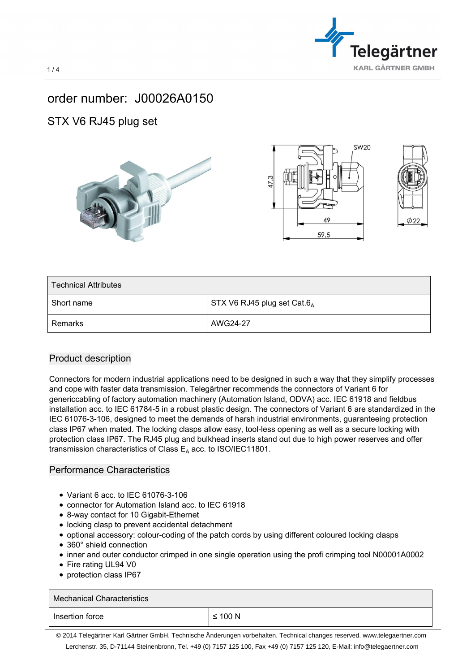

## order number: J00026A0150

## STX V6 RJ45 plug set







| <b>Technical Attributes</b> |                                 |
|-----------------------------|---------------------------------|
| Short name                  | STX V6 RJ45 plug set Cat.6 $_A$ |
| Remarks                     | AWG24-27                        |

## Product description

Connectors for modern industrial applications need to be designed in such a way that they simplify processes and cope with faster data transmission. Telegärtner recommends the connectors of Variant 6 for genericcabling of factory automation machinery (Automation Island, ODVA) acc. IEC 61918 and fieldbus installation acc. to IEC 61784-5 in a robust plastic design. The connectors of Variant 6 are standardized in the IEC 61076-3-106, designed to meet the demands of harsh industrial environments, guaranteeing protection class IP67 when mated. The locking clasps allow easy, tool-less opening as well as a secure locking with protection class IP67. The RJ45 plug and bulkhead inserts stand out due to high power reserves and offer transmission characteristics of Class  $E_A$  acc. to ISO/IEC11801.

## Performance Characteristics

- Variant 6 acc. to IEC 61076-3-106
- connector for Automation Island acc. to IEC 61918
- 8-way contact for 10 Gigabit-Ethernet
- locking clasp to prevent accidental detachment
- optional accessory: colour-coding of the patch cords by using different coloured locking clasps
- 360° shield connection
- inner and outer conductor crimped in one single operation using the profi crimping tool N00001A0002
- Fire rating UL94 V0
- protection class IP67

| Mechanical Characteristics |              |
|----------------------------|--------------|
| Insertion force            | $\leq 100$ N |
|                            |              |

 $1/4$ 

© 2014 Telegärtner Karl Gärtner GmbH. Technische Änderungen vorbehalten. Technical changes reserved. www.telegaertner.com Lerchenstr. 35, D-71144 Steinenbronn, Tel. +49 (0) 7157 125 100, Fax +49 (0) 7157 125 120, E-Mail: info@telegaertner.com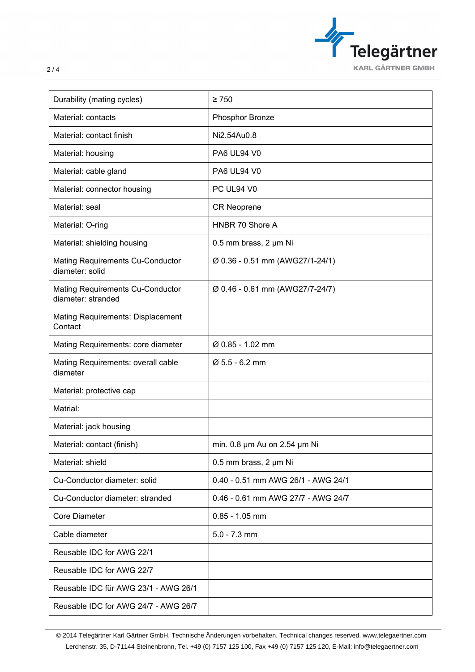

| Durability (mating cycles)                                    | $\geq 750$                         |
|---------------------------------------------------------------|------------------------------------|
| Material: contacts                                            | Phosphor Bronze                    |
| Material: contact finish                                      | Ni2.54Au0.8                        |
| Material: housing                                             | <b>PA6 UL94 V0</b>                 |
| Material: cable gland                                         | <b>PA6 UL94 V0</b>                 |
| Material: connector housing                                   | PC UL94 V0                         |
| Material: seal                                                | <b>CR Neoprene</b>                 |
| Material: O-ring                                              | HNBR 70 Shore A                    |
| Material: shielding housing                                   | 0.5 mm brass, 2 µm Ni              |
| <b>Mating Requirements Cu-Conductor</b><br>diameter: solid    | Ø 0.36 - 0.51 mm (AWG27/1-24/1)    |
| <b>Mating Requirements Cu-Conductor</b><br>diameter: stranded | Ø 0.46 - 0.61 mm (AWG27/7-24/7)    |
| <b>Mating Requirements: Displacement</b><br>Contact           |                                    |
| Mating Requirements: core diameter                            | Ø 0.85 - 1.02 mm                   |
| Mating Requirements: overall cable<br>diameter                | Ø 5.5 - 6.2 mm                     |
| Material: protective cap                                      |                                    |
| Matrial:                                                      |                                    |
| Material: jack housing                                        |                                    |
| Material: contact (finish)                                    | min. 0.8 µm Au on 2.54 µm Ni       |
| Material: shield                                              | 0.5 mm brass, 2 µm Ni              |
| Cu-Conductor diameter: solid                                  | 0.40 - 0.51 mm AWG 26/1 - AWG 24/1 |
| Cu-Conductor diameter: stranded                               | 0.46 - 0.61 mm AWG 27/7 - AWG 24/7 |
| <b>Core Diameter</b>                                          | $0.85 - 1.05$ mm                   |
| Cable diameter                                                | $5.0 - 7.3$ mm                     |
| Reusable IDC for AWG 22/1                                     |                                    |
| Reusable IDC for AWG 22/7                                     |                                    |
| Reusable IDC für AWG 23/1 - AWG 26/1                          |                                    |
| Reusable IDC for AWG 24/7 - AWG 26/7                          |                                    |

© 2014 Telegärtner Karl Gärtner GmbH. Technische Änderungen vorbehalten. Technical changes reserved. www.telegaertner.com Lerchenstr. 35, D-71144 Steinenbronn, Tel. +49 (0) 7157 125 100, Fax +49 (0) 7157 125 120, E-Mail: info@telegaertner.com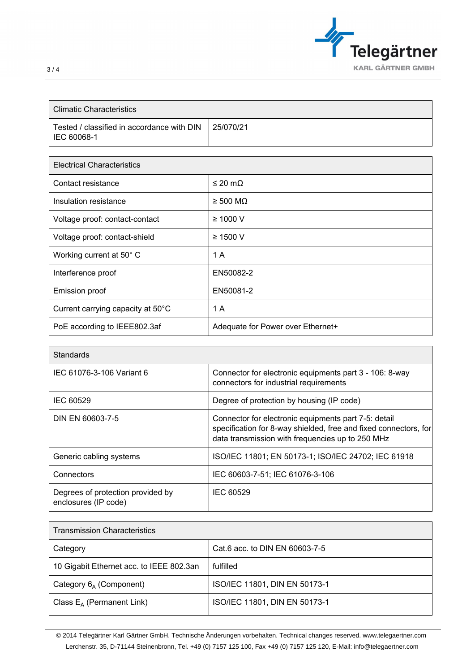

| <b>Climatic Characteristics</b>                                        |           |
|------------------------------------------------------------------------|-----------|
| Tested / classified in accordance with DIN<br><sup>1</sup> IEC 60068-1 | 25/070/21 |

| <b>Electrical Characteristics</b> |                                   |
|-----------------------------------|-----------------------------------|
| Contact resistance                | $≤$ 20 mΩ                         |
| Insulation resistance             | $\geq 500$ MQ                     |
| Voltage proof: contact-contact    | $\geq 1000$ V                     |
| Voltage proof: contact-shield     | $\geq$ 1500 V                     |
| Working current at 50° C          | 1 A                               |
| Interference proof                | EN50082-2                         |
| <b>Emission proof</b>             | EN50081-2                         |
| Current carrying capacity at 50°C | 1 A                               |
| PoE according to IEEE802.3af      | Adequate for Power over Ethernet+ |

| <b>Standards</b>                                          |                                                                                                                                                                              |
|-----------------------------------------------------------|------------------------------------------------------------------------------------------------------------------------------------------------------------------------------|
| IEC 61076-3-106 Variant 6                                 | Connector for electronic equipments part 3 - 106: 8-way<br>connectors for industrial requirements                                                                            |
| IEC 60529                                                 | Degree of protection by housing (IP code)                                                                                                                                    |
| DIN EN 60603-7-5                                          | Connector for electronic equipments part 7-5: detail<br>specification for 8-way shielded, free and fixed connectors, for<br>data transmission with frequencies up to 250 MHz |
| Generic cabling systems                                   | ISO/IEC 11801; EN 50173-1; ISO/IEC 24702; IEC 61918                                                                                                                          |
| Connectors                                                | IEC 60603-7-51; IEC 61076-3-106                                                                                                                                              |
| Degrees of protection provided by<br>enclosures (IP code) | IEC 60529                                                                                                                                                                    |

| <b>Transmission Characteristics</b>      |                                |  |
|------------------------------------------|--------------------------------|--|
| Category                                 | Cat.6 acc. to DIN EN 60603-7-5 |  |
| 10 Gigabit Ethernet acc. to IEEE 802.3an | fulfilled                      |  |
| Category $6_A$ (Component)               | ISO/IEC 11801, DIN EN 50173-1  |  |
| Class $E_A$ (Permanent Link)             | ISO/IEC 11801, DIN EN 50173-1  |  |

© 2014 Telegärtner Karl Gärtner GmbH. Technische Änderungen vorbehalten. Technical changes reserved. www.telegaertner.com Lerchenstr. 35, D-71144 Steinenbronn, Tel. +49 (0) 7157 125 100, Fax +49 (0) 7157 125 120, E-Mail: info@telegaertner.com

Г